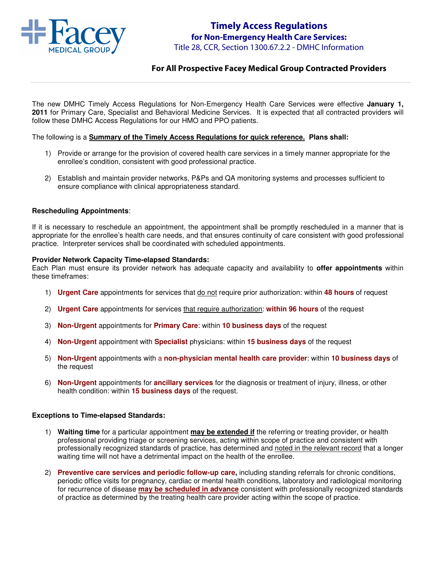

## **For All Prospective Facey Medical Group Contracted Providers**

The new DMHC Timely Access Regulations for Non-Emergency Health Care Services were effective **January 1, 2011** for Primary Care, Specialist and Behavioral Medicine Services. It is expected that all contracted providers will follow these DMHC Access Regulations for our HMO and PPO patients.

**\_\_\_\_\_\_\_\_\_\_\_\_\_\_\_\_\_\_\_\_\_\_\_\_\_\_\_\_\_\_\_\_\_\_\_\_\_\_\_\_\_\_\_\_\_\_\_\_\_\_\_\_\_\_\_\_\_\_\_\_\_\_\_\_\_\_\_\_\_\_\_\_\_\_\_\_\_\_\_\_\_\_\_\_\_\_\_\_\_**

The following is a **Summary of the Timely Access Regulations for quick reference. Plans shall:** 

- 1) Provide or arrange for the provision of covered health care services in a timely manner appropriate for the enrollee's condition, consistent with good professional practice.
- 2) Establish and maintain provider networks, P&Ps and QA monitoring systems and processes sufficient to ensure compliance with clinical appropriateness standard.

### **Rescheduling Appointments**:

If it is necessary to reschedule an appointment, the appointment shall be promptly rescheduled in a manner that is appropriate for the enrollee's health care needs, and that ensures continuity of care consistent with good professional practice. Interpreter services shall be coordinated with scheduled appointments.

#### **Provider Network Capacity Time-elapsed Standards:**

Each Plan must ensure its provider network has adequate capacity and availability to **offer appointments** within these timeframes:

- 1) **Urgent Care** appointments for services that do not require prior authorization: within **48 hours** of request
- 2) **Urgent Care** appointments for services that require authorization: **within 96 hours** of the request
- 3) **Non-Urgent** appointments for **Primary Care**: within **10 business days** of the request
- 4) **Non-Urgent** appointment with **Specialist** physicians: within **15 business days** of the request
- 5) **Non-Urgent** appointments with a **non-physician mental health care provider**: within **10 business days** of the request
- 6) **Non-Urgent** appointments for **ancillary services** for the diagnosis or treatment of injury, illness, or other health condition: within **15 business days** of the request.

#### **Exceptions to Time-elapsed Standards:**

- 1) **Waiting time** for a particular appointment **may be extended if** the referring or treating provider, or health professional providing triage or screening services, acting within scope of practice and consistent with professionally recognized standards of practice, has determined and noted in the relevant record that a longer waiting time will not have a detrimental impact on the health of the enrollee.
- 2) **Preventive care services and periodic follow-up care,** including standing referrals for chronic conditions, periodic office visits for pregnancy, cardiac or mental health conditions, laboratory and radiological monitoring for recurrence of disease **may be scheduled in advance** consistent with professionally recognized standards of practice as determined by the treating health care provider acting within the scope of practice.